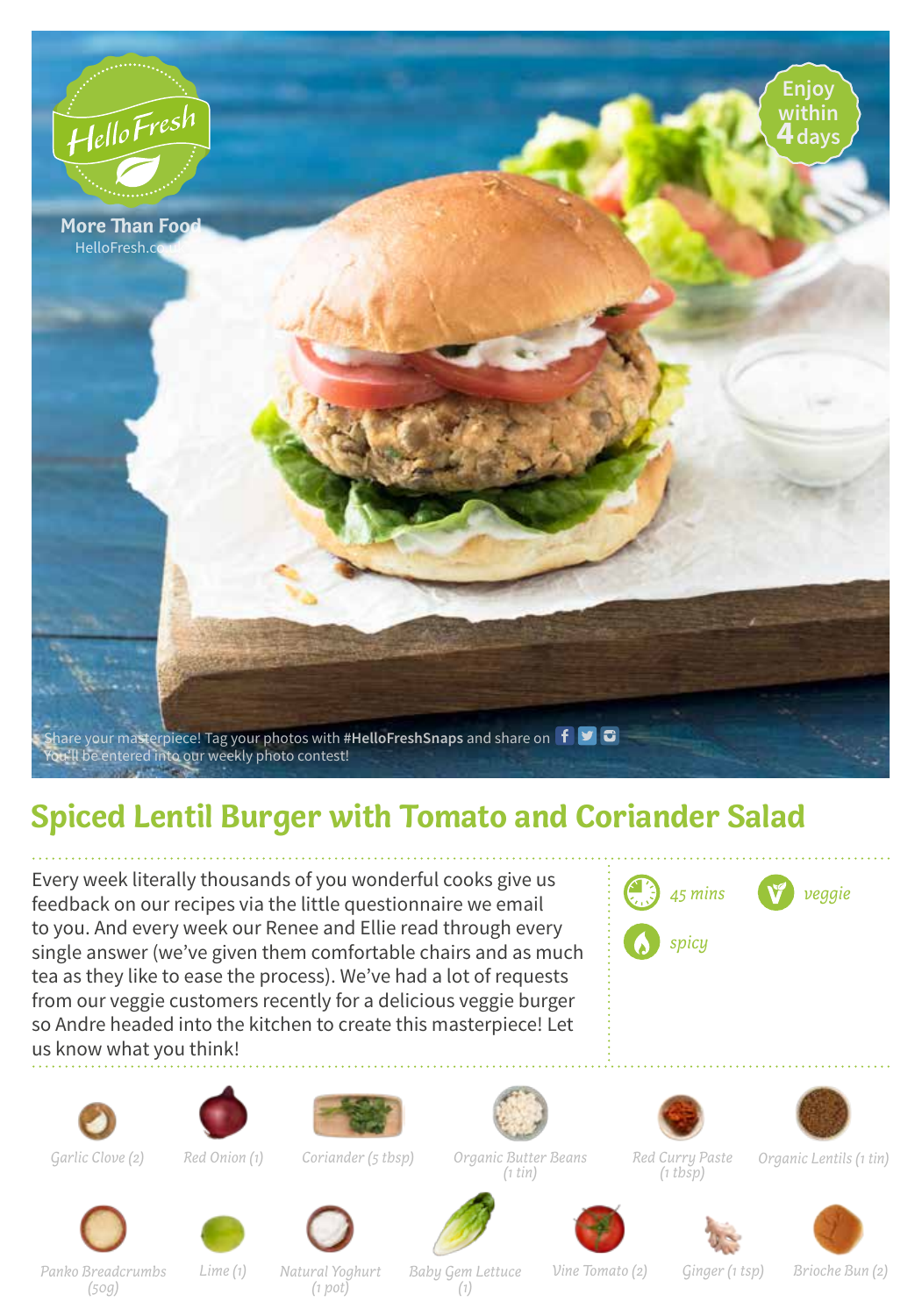

## **Spiced Lentil Burger with Tomato and Coriander Salad**

Every week literally thousands of you wonderful cooks give us feedback on our recipes via the little questionnaire we email to you. And every week our Renee and Ellie read through every single answer (we've given them comfortable chairs and as much tea as they like to ease the process). We've had a lot of requests from our veggie customers recently for a delicious veggie burger so Andre headed into the kitchen to create this masterpiece! Let us know what you think!







*Coriander (5 tbsp)*



*Organic Butter Beans (1 tin)*







*Panko Breadcrumbs*

*(50g)*

*(1 pot)*





















*Natural Yoghurt*

*(1)*

*Baby Gem Lettuce Lime (1) Vine Tomato (2) Ginger (1 tsp) Brioche Bun (2)*